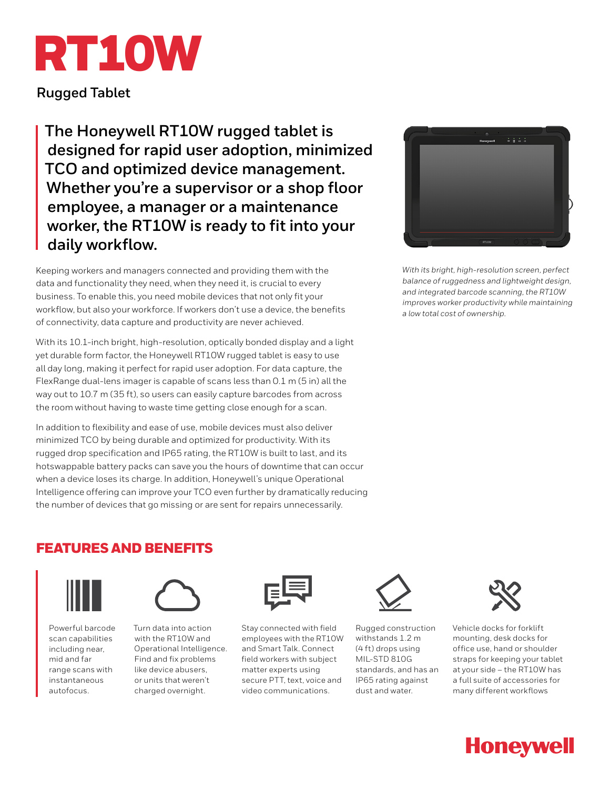# RT10W

**Rugged Tablet**

**The Honeywell RT10W rugged tablet is designed for rapid user adoption, minimized TCO and optimized device management. Whether you're a supervisor or a shop floor employee, a manager or a maintenance worker, the RT10W is ready to fit into your daily workflow.**

Keeping workers and managers connected and providing them with the data and functionality they need, when they need it, is crucial to every business. To enable this, you need mobile devices that not only fit your workflow, but also your workforce. If workers don't use a device, the benefits of connectivity, data capture and productivity are never achieved.

With its 10.1-inch bright, high-resolution, optically bonded display and a light yet durable form factor, the Honeywell RT10W rugged tablet is easy to use all day long, making it perfect for rapid user adoption. For data capture, the FlexRange dual-lens imager is capable of scans less than 0.1 m (5 in) all the way out to 10.7 m (35 ft), so users can easily capture barcodes from across the room without having to waste time getting close enough for a scan.

In addition to flexibility and ease of use, mobile devices must also deliver minimized TCO by being durable and optimized for productivity. With its rugged drop specification and IP65 rating, the RT10W is built to last, and its hotswappable battery packs can save you the hours of downtime that can occur when a device loses its charge. In addition, Honeywell's unique Operational Intelligence offering can improve your TCO even further by dramatically reducing the number of devices that go missing or are sent for repairs unnecessarily.



*With its bright, high-resolution screen, perfect balance of ruggedness and lightweight design, and integrated barcode scanning, the RT10W improves worker productivity while maintaining a low total cost of ownership.*

#### FEATURES AND BENEFITS



Powerful barcode scan capabilities including near, mid and far range scans with instantaneous autofocus.



Turn data into action with the RT10W and Operational Intelligence. Find and fix problems like device abusers, or units that weren't charged overnight.



Stay connected with field employees with the RT10W and Smart Talk. Connect field workers with subject matter experts using secure PTT, text, voice and video communications.



Rugged construction withstands 1.2 m (4 ft) drops using MIL-STD 810G standards, and has an IP65 rating against dust and water.



Vehicle docks for forklift mounting, desk docks for office use, hand or shoulder straps for keeping your tablet at your side – the RT10W has a full suite of accessories for many different workflows